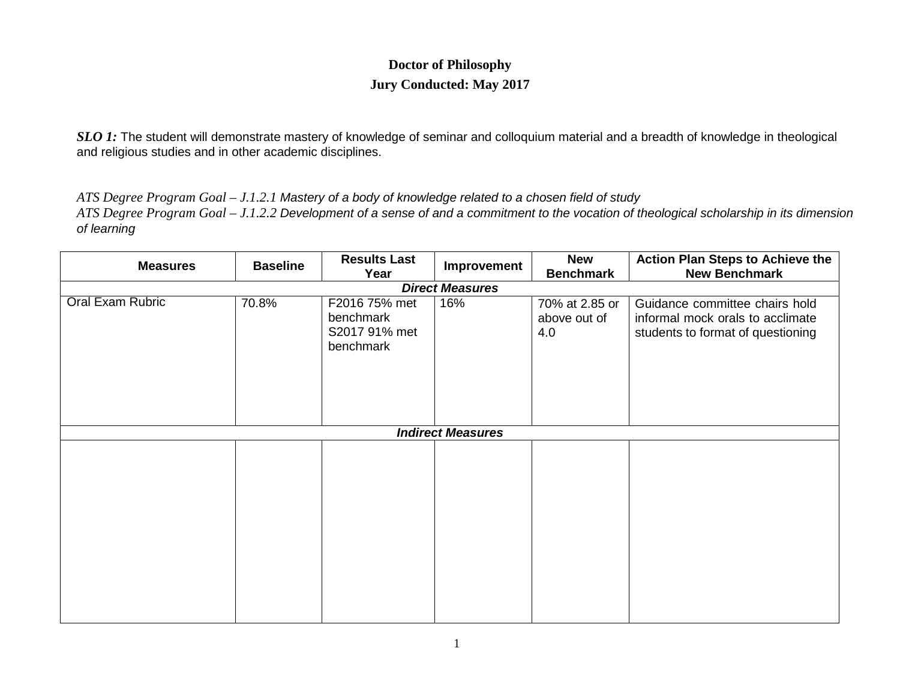## **Doctor of Philosophy Jury Conducted: May 2017**

*SLO 1*: The student will demonstrate mastery of knowledge of seminar and colloquium material and a breadth of knowledge in theological and religious studies and in other academic disciplines.

*ATS Degree Program Goal – J.1.2.1 Mastery of a body of knowledge related to a chosen field of study*

*ATS Degree Program Goal – J.1.2.2 Development of a sense of and a commitment to the vocation of theological scholarship in its dimension of learning*

| <b>Measures</b>          | <b>Baseline</b> | <b>Results Last</b><br>Year                              | Improvement | <b>New</b><br><b>Benchmark</b>        | <b>Action Plan Steps to Achieve the</b><br><b>New Benchmark</b>                                         |  |  |
|--------------------------|-----------------|----------------------------------------------------------|-------------|---------------------------------------|---------------------------------------------------------------------------------------------------------|--|--|
| <b>Direct Measures</b>   |                 |                                                          |             |                                       |                                                                                                         |  |  |
| <b>Oral Exam Rubric</b>  | 70.8%           | F2016 75% met<br>benchmark<br>S2017 91% met<br>benchmark | 16%         | 70% at 2.85 or<br>above out of<br>4.0 | Guidance committee chairs hold<br>informal mock orals to acclimate<br>students to format of questioning |  |  |
| <b>Indirect Measures</b> |                 |                                                          |             |                                       |                                                                                                         |  |  |
|                          |                 |                                                          |             |                                       |                                                                                                         |  |  |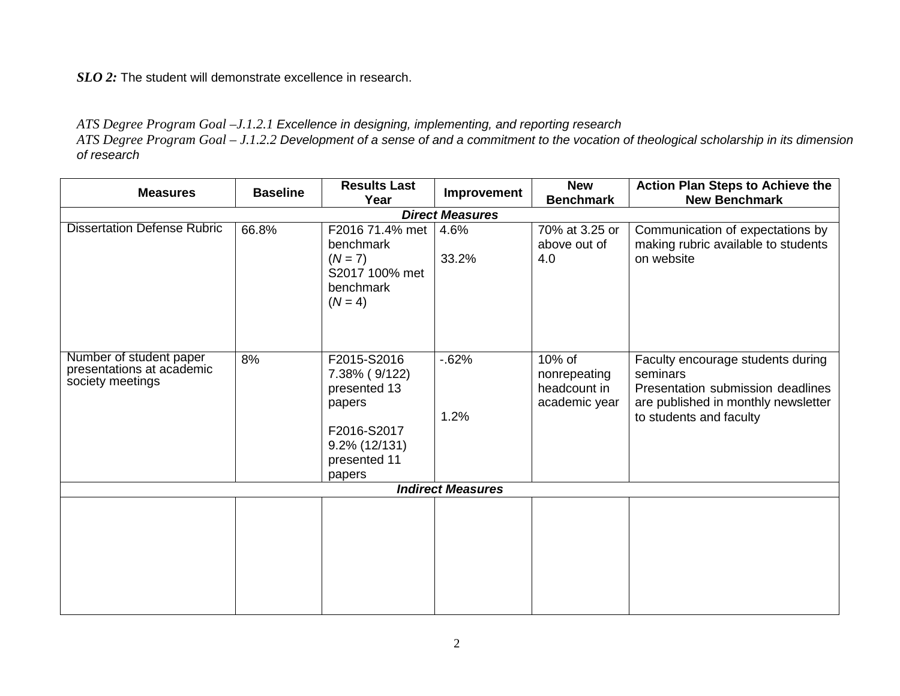*SLO 2:* The student will demonstrate excellence in research.

## *ATS Degree Program Goal –J.1.2.1 Excellence in designing, implementing, and reporting research*

*ATS Degree Program Goal – J.1.2.2 Development of a sense of and a commitment to the vocation of theological scholarship in its dimension of research*

| <b>Measures</b>                                                          | <b>Baseline</b> | <b>Results Last</b><br>Year                                                                                         | Improvement    | <b>New</b><br><b>Benchmark</b>                          | <b>Action Plan Steps to Achieve the</b><br><b>New Benchmark</b>                                                                                      |  |  |
|--------------------------------------------------------------------------|-----------------|---------------------------------------------------------------------------------------------------------------------|----------------|---------------------------------------------------------|------------------------------------------------------------------------------------------------------------------------------------------------------|--|--|
| <b>Direct Measures</b>                                                   |                 |                                                                                                                     |                |                                                         |                                                                                                                                                      |  |  |
| <b>Dissertation Defense Rubric</b>                                       | 66.8%           | F2016 71.4% met<br>benchmark<br>$(N = 7)$<br>S2017 100% met<br>benchmark<br>$(N = 4)$                               | 4.6%<br>33.2%  | 70% at 3.25 or<br>above out of<br>4.0                   | Communication of expectations by<br>making rubric available to students<br>on website                                                                |  |  |
| Number of student paper<br>presentations at academic<br>society meetings | 8%              | F2015-S2016<br>7.38% (9/122)<br>presented 13<br>papers<br>F2016-S2017<br>$9.2\%$ (12/131)<br>presented 11<br>papers | $-62%$<br>1.2% | 10% of<br>nonrepeating<br>headcount in<br>academic year | Faculty encourage students during<br>seminars<br>Presentation submission deadlines<br>are published in monthly newsletter<br>to students and faculty |  |  |
| <b>Indirect Measures</b>                                                 |                 |                                                                                                                     |                |                                                         |                                                                                                                                                      |  |  |
|                                                                          |                 |                                                                                                                     |                |                                                         |                                                                                                                                                      |  |  |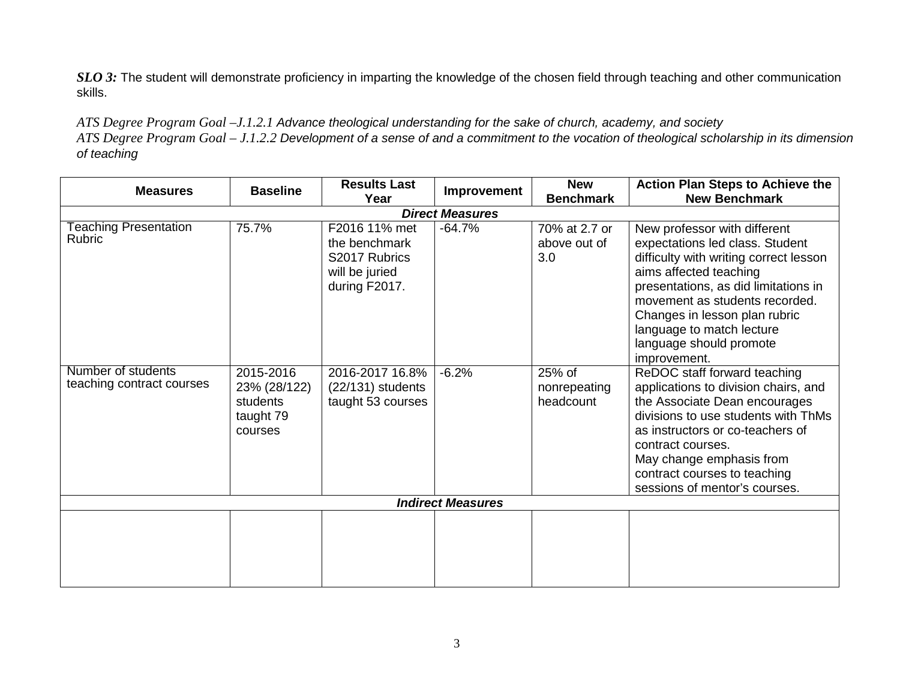*SLO 3*: The student will demonstrate proficiency in imparting the knowledge of the chosen field through teaching and other communication skills.

*ATS Degree Program Goal –J.1.2.1 Advance theological understanding for the sake of church, academy, and society*

*ATS Degree Program Goal – J.1.2.2 Development of a sense of and a commitment to the vocation of theological scholarship in its dimension of teaching*

| <b>Measures</b>                                 | <b>Baseline</b>                                               | <b>Results Last</b><br>Year                                                        | Improvement | <b>New</b><br><b>Benchmark</b>       | <b>Action Plan Steps to Achieve the</b><br><b>New Benchmark</b>                                                                                                                                                                                                                                                        |  |  |
|-------------------------------------------------|---------------------------------------------------------------|------------------------------------------------------------------------------------|-------------|--------------------------------------|------------------------------------------------------------------------------------------------------------------------------------------------------------------------------------------------------------------------------------------------------------------------------------------------------------------------|--|--|
| <b>Direct Measures</b>                          |                                                               |                                                                                    |             |                                      |                                                                                                                                                                                                                                                                                                                        |  |  |
| <b>Teaching Presentation</b><br><b>Rubric</b>   | 75.7%                                                         | F2016 11% met<br>the benchmark<br>S2017 Rubrics<br>will be juried<br>during F2017. | $-64.7%$    | 70% at 2.7 or<br>above out of<br>3.0 | New professor with different<br>expectations led class. Student<br>difficulty with writing correct lesson<br>aims affected teaching<br>presentations, as did limitations in<br>movement as students recorded.<br>Changes in lesson plan rubric<br>language to match lecture<br>language should promote<br>improvement. |  |  |
| Number of students<br>teaching contract courses | 2015-2016<br>23% (28/122)<br>students<br>taught 79<br>courses | 2016-2017 16.8%<br>$(22/131)$ students<br>taught 53 courses                        | $-6.2%$     | 25% of<br>nonrepeating<br>headcount  | ReDOC staff forward teaching<br>applications to division chairs, and<br>the Associate Dean encourages<br>divisions to use students with ThMs<br>as instructors or co-teachers of<br>contract courses.<br>May change emphasis from<br>contract courses to teaching<br>sessions of mentor's courses.                     |  |  |
| <b>Indirect Measures</b>                        |                                                               |                                                                                    |             |                                      |                                                                                                                                                                                                                                                                                                                        |  |  |
|                                                 |                                                               |                                                                                    |             |                                      |                                                                                                                                                                                                                                                                                                                        |  |  |